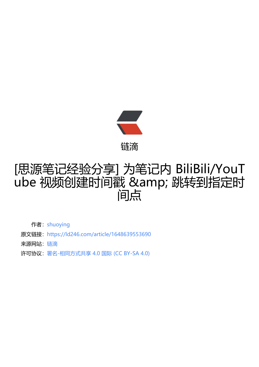

## [思源笔记经验分享] [为笔](https://ld246.com)记内 BiliBili/YouT ube 视频创建时间戳 & 跳转到指定时 间点

作者: shuoying

- 原文链接:https://ld246.com/article/1648639553690
- 来源网站: [链滴](https://ld246.com/member/shuoying)
- 许可协议:[署名-相同方式共享 4.0 国际 \(CC BY-SA 4.0\)](https://ld246.com/article/1648639553690)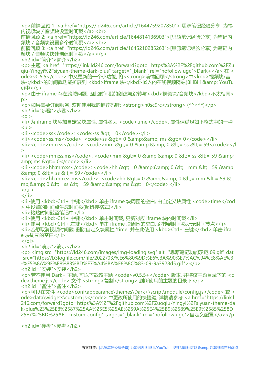<p>前情回顾 1: <a href="https://ld246.com/article/1644759207850">[思源笔记经验分享] 为笔 内视频块 / 音频块设置时间戳</a><br> 前情回顾 2: <a href="https://ld246.com/article/1644814136903">[思源笔记经验分享] 为笔记内 频块 / 音频块设置多个时间戳</a><br> 前情回顾 3: <a href="https://ld246.com/article/1645210285263">[思源笔记经验分享] 为笔记内 频块 / 音频块快速创建时间戳</a></p> <h2 id="简介">简介</h2> <p>主题 <a href="https://link.ld246.com/forward?goto=https%3A%2F%2Fgithub.com%2FZu qiu-Yingyi%2Fsiyuan-theme-dark-plus" target="\_blank" rel="nofollow ugc">Dark+</a> 在 < ode>v0.5.5</code> 中又更新的一个小功能, 将<strong>前情回顾</strong>中<kbd>视频块/音 块</kbd>的时间戳功能扩展到 <kbd>iframe 块</kbd>嵌入的在线视频网站(BiliBili &amp; YouTu e)中</p> <p>由于 iframe 存在跨域问题, 因此时间戳的创建与跳转与<kbd>视频块/音频块</kbd>不太相同< p> <p>如果需要订阅服务, 欢迎使用我的推荐码呀: <strong>h0sc9rc</strong> (\*^▽^\*)</p> <h2 id="步骤">步骤</h2>  $\langle$  ol $>$ <li>为 iframe 块添加自定义块属性, 属性名为 <code>time</code>, 属性值满足如下格式中的一种  $|<sub>u</sub>|$  $\langle$  =  $\langle$  =  $\rangle$   $\langle$   $\langle$   $\rangle$   $\langle$   $\langle$   $\rangle$   $\langle$   $\langle$   $\rangle$   $\langle$   $\langle$   $\rangle$   $\langle$   $\rangle$   $\langle$   $\langle$   $\rangle$   $\langle$   $\rangle$   $\langle$   $\rangle$   $\langle$   $\langle$   $\rangle$   $\langle$   $\rangle$   $\langle$   $\rangle$   $\langle$   $\rangle$   $\langle$   $\langle$   $\rangle$   $\langle$   $\rangle$   $\langle$   $\rangle$   $\langle$   $\rangle$   $\langle$   $\r$  $\langle$   $\langle$ i>  $\langle$   $\langle$ code>ss.ms $\langle$  $\langle$ code> $\rangle$ :  $\langle$ code>ss &qt;= 0 && ms &qt;= 0  $\langle$  $\langle$ code> $\langle$  $\rangle$ li>  $\langle$  i>  $\langle$  code> $\langle$ mm:ss $\langle$ /code> $\langle$   $\rangle$   $\langle$  code> $\langle$ mm &qt $\rangle$ = 0 && 0 &lt $\rangle$ = ss &lt $\rangle$ = 59 $\langle$ /code> $\langle$ / $\rangle$ >  $\langle$ i> $\langle$ code>mm:ss.ms $\langle$ code>: $\langle$ code>mm >= 0 && 0 <= ss &lt;= 59 &amp; amp; ms  $>q;= 0$  </code> </li  $\langle$  -ii>  $\langle$  code>hh:mm:ss $\langle$  /code>:  $\langle$  code>hh &qt; = 0 &  $\langle$  & 0 < = mm &lt; = 59 &amp  $\&amp;; 0 \&lt;= ss \&lt;= 59$  $\langle$  -i>  $\langle$  code>hh:mm:ss.ms $\langle$  /code>:  $\langle$  code>hh &qt; = 0 & & 0 < = mm &lt; = 59 & mp; $&0<= s$   $&lt;= 59&amp;;&amp;amp;ms&gt;= 0$  $\langle$ /ul $\rangle$  $\langle$ /li $\rangle$ <li>使用 <kbd>Ctrl+ 中键</kbd> 单击 iframe 块周围的空白, 由自定义块属性 <code>time</cod > 中设置的时间点生成时间戳(超链接格式)</li> <li>粘贴时间戳至笔记中</li> <li>使用 <kbd>Ctrl+ 中键</kbd> 单击时间戳, 更新对应 iframe 块的时间戳</li> <li>使用 <kbd>Ctrl+ 左键</kbd> 单击 iframe 块周围的空白, 跳转到时间戳所示时间节点</li> <li>若想取消视频时间戳, 删除自定义块属性 'time' 并在此使用 <kbd>Ctrl+ 左键</kbd> 单击 ifra e 块周围的空白</li>  $<$ /ol $>$ <h2 id="演示">演示</h2> <p><img src="https://ld246.com/images/img-loading.svg" alt="思源笔记功能示范 09.gif" dat -src="https://b3logfile.com/file/2022/03/%E6%80%9D%E6%BA%90%E7%AC%94%E8%AE%B -%E5%8A%9F%E8%83%BD%E7%A4%BA%E8%8C%83-09-9a3928d5.gif"></p> <h2 id="安装">安装</h2> <p>若不使用 Dark+ 主题, 可以下载该主题 <code>v0.5.5+</code> 版本, 并将该主题目录下的 <c de>theme.js</code> 文件 <strong>复制</strong> 到所使用的主题的目录下</p> <h2 id="备注">备注</h2> <p>可以在文件 <code>conf\appearance\themes\Dark+\script\module\config.js</code> 或 < ode>data\widgets\custom.js</code>中更改所使用的快捷键, 详情请参考 <a href="https://link.l 246.com/forward?goto=https%3A%2F%2Fgithub.com%2FZuoqiu-Yingyi%2Fsiyuan-theme-da k-plus%23%25E8%2587%25AA%25E5%25AE%259A%25E4%25B9%2589%25E9%2585%258D 25E7%25BD%25AE--custom-config" target="\_blank" rel="nofollow ugc">自定义配置</a></p <h2 id="参考">参考</h2>